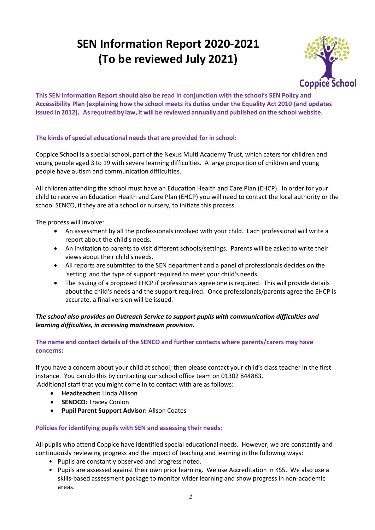# **SEN Information Report 2020-2021 (To be reviewed July 2021)**



**This SEN Information Report should also be read in conjunction with the school's SEN Policy and Accessibility Plan (explaining how the school meets its duties under the Equality Act 2010 (and updates issued in 2012). Asrequired by law, it will be reviewed annually and published on the school website.**

# **The kinds of special educational needs that are provided for in school:**

Coppice School is a special school, part of the Nexus Multi Academy Trust, which caters for children and young people aged 3 to 19 with severe learning difficulties. A large proportion of children and young people have autism and communication difficulties.

All children attending the school must have an Education Health and Care Plan (EHCP). In order for your child to receive an Education Health and Care Plan (EHCP) you will need to contact the local authority or the school SENCO, if they are at a school or nursery, to initiate this process.

The process will involve:

- An assessment by all the professionals involved with your child. Each professional will write a report about the child's needs.
- An invitation to parents to visit different schools/settings. Parents will be asked to write their views about their child's needs.
- All reports are submitted to the SEN department and a panel of professionals decides on the 'setting' and the type of support required to meet your child's needs.
- The issuing of a proposed EHCP if professionals agree one is required. This will provide details about the child's needs and the support required. Once professionals/parents agree the EHCP is accurate, a final version will be issued.

# *The school also provides an Outreach Service to support pupils with communication difficulties and learning difficulties, in accessing mainstream provision.*

# **The name and contact details of the SENCO and further contacts where parents/carers may have concerns:**

If you have a concern about your child at school; then please contact your child's class teacher in the first instance. You can do this by contacting our school office team on 01302 844883.

Additional staff that you might come in to contact with are as follows:

- **Headteacher:** Linda Allison
- **SENDCO:** Tracey Conlon
- **Pupil Parent Support Advisor:** Alison Coates

#### **Policies for identifying pupils with SEN and assessing their needs:**

All pupils who attend Coppice have identified special educational needs. However, we are constantly and continuously reviewing progress and the impact of teaching and learning in the following ways:

- Pupils are constantly observed and progress noted.
- Pupils are assessed against their own prior learning. We use Accreditation in KS5. We also use a skills-based assessment package to monitor wider learning and show progress in non-academic areas.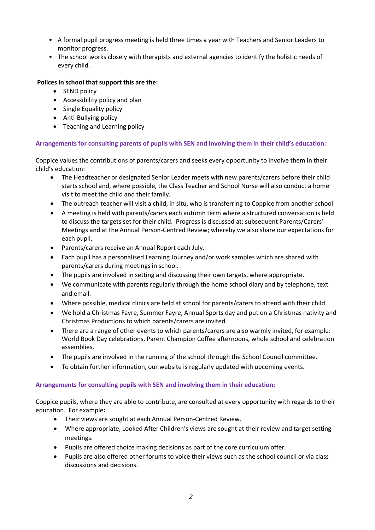- A formal pupil progress meeting is held three times a year with Teachers and Senior Leaders to monitor progress.
- The school works closely with therapists and external agencies to identify the holistic needs of every child.

# **Polices in school that support this are the:**

- SEND policy
- Accessibility policy and plan
- Single Equality policy
- Anti-Bullying policy
- Teaching and Learning policy

#### **Arrangements for consulting parents of pupils with SEN and involving them in their child's education:**

Coppice values the contributions of parents/carers and seeks every opportunity to involve them in their child's education:

- The Headteacher or designated Senior Leader meets with new parents/carers before their child starts school and, where possible, the Class Teacher and School Nurse will also conduct a home visit to meet the child and their family.
- The outreach teacher will visit a child, in situ, who is transferring to Coppice from another school.
- A meeting is held with parents/carers each autumn term where a structured conversation is held to discuss the targets set for their child. Progress is discussed at: subsequent Parents/Carers' Meetings and at the Annual Person-Centred Review; whereby we also share our expectations for each pupil.
- Parents/carers receive an Annual Report each July.
- Each pupil has a personalised Learning Journey and/or work samples which are shared with parents/carers during meetings in school.
- The pupils are involved in setting and discussing their own targets, where appropriate.
- We communicate with parents regularly through the home school diary and by telephone, text and email.
- Where possible, medical clinics are held at school for parents/carers to attend with their child.
- We hold a Christmas Fayre, Summer Fayre, Annual Sports day and put on a Christmas nativity and Christmas Productions to which parents/carers are invited.
- There are a range of other events to which parents/carers are also warmly invited, for example: World Book Day celebrations, Parent Champion Coffee afternoons, whole school and celebration assemblies.
- The pupils are involved in the running of the school through the School Council committee.
- To obtain further information, our website is regularly updated with upcoming events.

#### **Arrangements for consulting pupils with SEN and involving them in their education:**

Coppice pupils, where they are able to contribute, are consulted at every opportunity with regards to their education. For example**:** 

- Their views are sought at each Annual Person-Centred Review.
- Where appropriate, Looked After Children's views are sought at their review and target setting meetings.
- Pupils are offered choice making decisions as part of the core curriculum offer.
- Pupils are also offered other forums to voice their views such as the school council or via class discussions and decisions.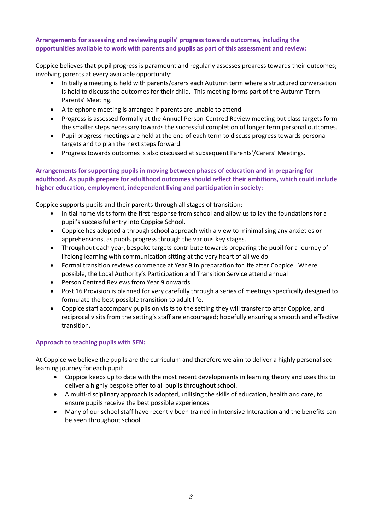## **Arrangements for assessing and reviewing pupils' progress towards outcomes, including the opportunities available to work with parents and pupils as part of this assessment and review:**

Coppice believes that pupil progress is paramount and regularly assesses progress towards their outcomes; involving parents at every available opportunity:

- Initially a meeting is held with parents/carers each Autumn term where a structured conversation is held to discuss the outcomes for their child. This meeting forms part of the Autumn Term Parents' Meeting.
- A telephone meeting is arranged if parents are unable to attend.
- Progress is assessed formally at the Annual Person-Centred Review meeting but class targets form the smaller steps necessary towards the successful completion of longer term personal outcomes.
- Pupil progress meetings are held at the end of each term to discuss progress towards personal targets and to plan the next steps forward.
- Progress towards outcomes is also discussed at subsequent Parents'/Carers' Meetings.

### **Arrangements for supporting pupils in moving between phases of education and in preparing for adulthood. As pupils prepare for adulthood outcomes should reflect their ambitions, which could include higher education, employment, independent living and participation in society:**

Coppice supports pupils and their parents through all stages of transition:

- Initial home visits form the first response from school and allow us to lay the foundations for a pupil's successful entry into Coppice School.
- Coppice has adopted a through school approach with a view to minimalising any anxieties or apprehensions, as pupils progress through the various key stages.
- Throughout each year, bespoke targets contribute towards preparing the pupil for a journey of lifelong learning with communication sitting at the very heart of all we do.
- Formal transition reviews commence at Year 9 in preparation for life after Coppice. Where possible, the Local Authority's Participation and Transition Service attend annual
- Person Centred Reviews from Year 9 onwards.
- Post 16 Provision is planned for very carefully through a series of meetings specifically designed to formulate the best possible transition to adult life.
- Coppice staff accompany pupils on visits to the setting they will transfer to after Coppice, and reciprocal visits from the setting's staff are encouraged; hopefully ensuring a smooth and effective transition.

#### **Approach to teaching pupils with SEN:**

At Coppice we believe the pupils are the curriculum and therefore we aim to deliver a highly personalised learning journey for each pupil:

- Coppice keeps up to date with the most recent developments in learning theory and uses this to deliver a highly bespoke offer to all pupils throughout school.
- A multi-disciplinary approach is adopted, utilising the skills of education, health and care, to ensure pupils receive the best possible experiences.
- Many of our school staff have recently been trained in Intensive Interaction and the benefits can be seen throughout school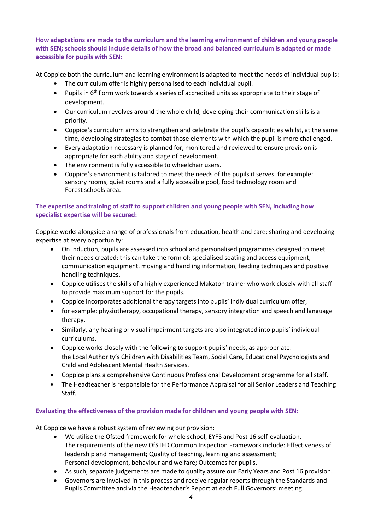**How adaptations are made to the curriculum and the learning environment of children and young people with SEN; schools should include details of how the broad and balanced curriculum is adapted or made accessible for pupils with SEN:**

At Coppice both the curriculum and learning environment is adapted to meet the needs of individual pupils:

- The curriculum offer is highly personalised to each individual pupil.
- Pupils in 6<sup>th</sup> Form work towards a series of accredited units as appropriate to their stage of development.
- Our curriculum revolves around the whole child; developing their communication skills is a priority.
- Coppice's curriculum aims to strengthen and celebrate the pupil's capabilities whilst, at the same time, developing strategies to combat those elements with which the pupil is more challenged.
- Every adaptation necessary is planned for, monitored and reviewed to ensure provision is appropriate for each ability and stage of development.
- The environment is fully accessible to wheelchair users.
- Coppice's environment is tailored to meet the needs of the pupils it serves, for example: sensory rooms, quiet rooms and a fully accessible pool, food technology room and Forest schools area.

# **The expertise and training of staff to support children and young people with SEN, including how specialist expertise will be secured:**

Coppice works alongside a range of professionals from education, health and care; sharing and developing expertise at every opportunity:

- On induction, pupils are assessed into school and personalised programmes designed to meet their needs created; this can take the form of: specialised seating and access equipment, communication equipment, moving and handling information, feeding techniques and positive handling techniques.
- Coppice utilises the skills of a highly experienced Makaton trainer who work closely with all staff to provide maximum support for the pupils.
- Coppice incorporates additional therapy targets into pupils' individual curriculum offer,
- for example: physiotherapy, occupational therapy, sensory integration and speech and language therapy.
- Similarly, any hearing or visual impairment targets are also integrated into pupils' individual curriculums.
- Coppice works closely with the following to support pupils' needs, as appropriate: the Local Authority's Children with Disabilities Team, Social Care, Educational Psychologists and Child and Adolescent Mental Health Services.
- Coppice plans a comprehensive Continuous Professional Development programme for all staff.
- The Headteacher is responsible for the Performance Appraisal for all Senior Leaders and Teaching Staff.

# **Evaluating the effectiveness of the provision made for children and young people with SEN:**

At Coppice we have a robust system of reviewing our provision:

- We utilise the Ofsted framework for whole school, EYFS and Post 16 self-evaluation. The requirements of the new OfSTED Common Inspection Framework include: Effectiveness of leadership and management; Quality of teaching, learning and assessment; Personal development, behaviour and welfare; Outcomes for pupils.
- As such, separate judgements are made to quality assure our Early Years and Post 16 provision.
- Governors are involved in this process and receive regular reports through the Standards and Pupils Committee and via the Headteacher's Report at each Full Governors' meeting.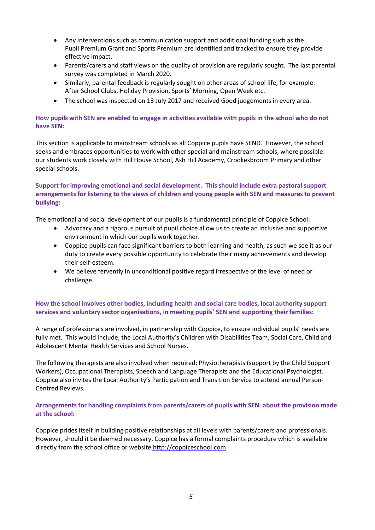- Any interventions such as communication support and additional funding such as the Pupil Premium Grant and Sports Premium are identified and tracked to ensure they provide effective impact.
- Parents/carers and staff views on the quality of provision are regularly sought. The last parental survey was completed in March 2020.
- Similarly, parental feedback is regularly sought on other areas of school life, for example: After School Clubs, Holiday Provision, Sports' Morning, Open Week etc.
- The school was inspected on 13 July 2017 and received Good judgements in every area.

# **How pupils with SEN are enabled to engage in activities available with pupils in the school who do not have SEN:**

This section is applicable to mainstream schools as all Coppice pupils have SEND. However, the school seeks and embraces opportunities to work with other special and mainstream schools, where possible: our students work closely with Hill House School, Ash Hill Academy, Crookesbroom Primary and other special schools.

## **Support for improving emotional and social development. This should include extra pastoral support arrangements for listening to the views of children and young people with SEN and measures to prevent bullying:**

The emotional and social development of our pupils is a fundamental principle of Coppice School:

- Advocacy and a rigorous pursuit of pupil choice allow us to create an inclusive and supportive environment in which our pupils work together.
- Coppice pupils can face significant barriers to both learning and health; as such we see it as our duty to create every possible opportunity to celebrate their many achievements and develop their self-esteem.
- We believe fervently in unconditional positive regard irrespective of the level of need or challenge.

# **How the school involves other bodies, including health and social care bodies, local authority support services and voluntary sector organisations, in meeting pupils' SEN and supporting their families:**

A range of professionals are involved, in partnership with Coppice, to ensure individual pupils' needs are fully met. This would include; the Local Authority's Children with Disabilities Team, Social Care, Child and Adolescent Mental Health Services and School Nurses.

The following therapists are also involved when required; Physiotherapists (support by the Child Support Workers), Occupational Therapists, Speech and Language Therapists and the Educational Psychologist. Coppice also invites the Local Authority's Participation and Transition Service to attend annual Person-Centred Reviews.

# **Arrangements for handling complaints from parents/carers of pupils with SEN. about the provision made at the school:**

Coppice prides itself in building positive relationships at all levels with parents/carers and professionals. However, should it be deemed necessary, Coppice has a formal complaints procedure which is available directly from the school office or websit[e](http://coppiceschool.com/) [http://coppiceschool.com](http://coppiceschool.com/)